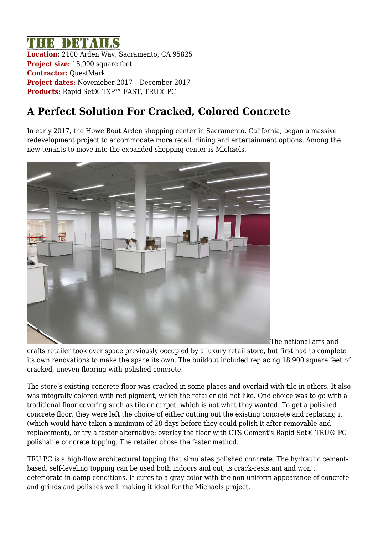## DETAILS

**Location:** 2100 Arden Way, Sacramento, CA 95825 **Project size:** 18,900 square feet **Contractor:** QuestMark **Project dates:** Novemeber 2017 – December 2017 **Products:** Rapid Set® TXP™ FAST, TRU® PC

## **A Perfect Solution For Cracked, Colored Concrete**

In early 2017, the Howe Bout Arden shopping center in Sacramento, California, began a massive redevelopment project to accommodate more retail, dining and entertainment options. Among the new tenants to move into the expanded shopping center is Michaels.



The national arts and

crafts retailer took over space previously occupied by a luxury retail store, but first had to complete its own renovations to make the space its own. The buildout included replacing 18,900 square feet of cracked, uneven flooring with polished concrete.

The store's existing concrete floor was cracked in some places and overlaid with tile in others. It also was integrally colored with red pigment, which the retailer did not like. One choice was to go with a traditional floor covering such as tile or carpet, which is not what they wanted. To get a polished concrete floor, they were left the choice of either cutting out the existing concrete and replacing it (which would have taken a minimum of 28 days before they could polish it after removable and replacement), or try a faster alternative: overlay the floor with CTS Cement's Rapid Set® TRU® PC polishable concrete topping. The retailer chose the faster method.

TRU PC is a high-flow architectural topping that simulates polished concrete. The hydraulic cementbased, self-leveling topping can be used both indoors and out, is crack-resistant and won't deteriorate in damp conditions. It cures to a gray color with the non-uniform appearance of concrete and grinds and polishes well, making it ideal for the Michaels project.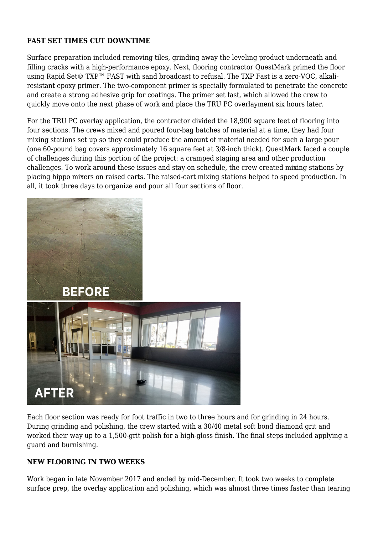## **FAST SET TIMES CUT DOWNTIME**

Surface preparation included removing tiles, grinding away the leveling product underneath and filling cracks with a high-performance epoxy. Next, flooring contractor QuestMark primed the floor using Rapid Set® TXP™ FAST with sand broadcast to refusal. The TXP Fast is a zero-VOC, alkaliresistant epoxy primer. The two-component primer is specially formulated to penetrate the concrete and create a strong adhesive grip for coatings. The primer set fast, which allowed the crew to quickly move onto the next phase of work and place the TRU PC overlayment six hours later.

For the TRU PC overlay application, the contractor divided the 18,900 square feet of flooring into four sections. The crews mixed and poured four-bag batches of material at a time, they had four mixing stations set up so they could produce the amount of material needed for such a large pour (one 60-pound bag covers approximately 16 square feet at 3/8-inch thick). QuestMark faced a couple of challenges during this portion of the project: a cramped staging area and other production challenges. To work around these issues and stay on schedule, the crew created mixing stations by placing hippo mixers on raised carts. The raised-cart mixing stations helped to speed production. In all, it took three days to organize and pour all four sections of floor.



Each floor section was ready for foot traffic in two to three hours and for grinding in 24 hours. During grinding and polishing, the crew started with a 30/40 metal soft bond diamond grit and worked their way up to a 1,500-grit polish for a high-gloss finish. The final steps included applying a guard and burnishing.

## **NEW FLOORING IN TWO WEEKS**

Work began in late November 2017 and ended by mid-December. It took two weeks to complete surface prep, the overlay application and polishing, which was almost three times faster than tearing